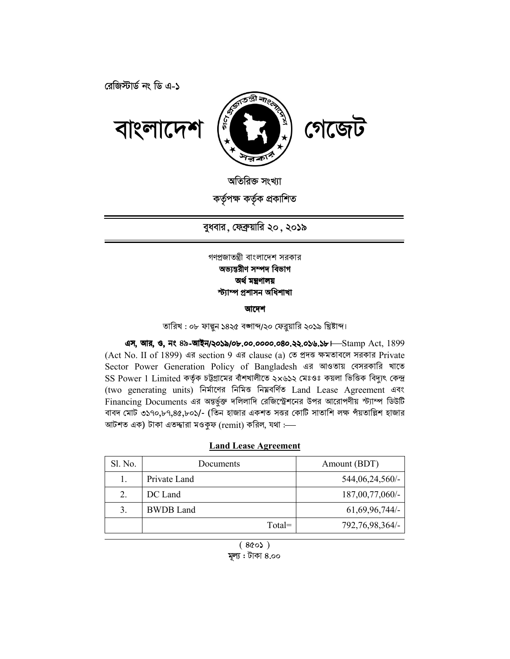রেজিস্টার্ড নং ডি এ-১



অতিরিক্ত সংখ্যা কৰ্তৃপক্ষ কৰ্তৃক প্ৰকাশিত

বুধবার, ফেব্রুয়ারি ২০, ২০১৯

## গণপ্রজাতন্ত্রী বাংলাদেশ সরকার অভ্যন্তরীণ সম্পদ বিভাগ অৰ্থ মন্ত্ৰণালয় স্ট্যাম্প প্ৰশাসন অধিশাখা

## আদেশ

তারিখ : ০৮ ফাল্গন ১৪২৫ বঙ্গাব্দ/২০ ফেব্রয়ারি ২০১৯ খ্রিষ্টাব্দ।

এস, আর, ও, নং ৪৯-আইন/২০১৯/০৮.০০.০০০০.০৪০.২২.০১৬.১৮ H Stamp Act, 1899 (Act No. II of 1899) এর section 9 এর clause (a) তে প্রদত্ত ক্ষমতাবলে সরকার Private Sector Power Generation Policy of Bangladesh এর আওতায় বেসরকারি খাতে SS Power 1 Limited কর্তৃক চট্টগ্রামের বাঁশখালীতে ২x৬১২ মেঃওঃ কয়লা ভিত্তিক বিদ্যুৎ কেন্দ্র (two generating units) নিৰ্মাণের নিমিত্ত নিমবৰ্ণিত Land Lease Agreement এবং Financing Documents এর অন্তর্ভুক্ত দলিলাদি রেজিস্ট্রেশনের উপর আরোপণীয় স্ট্যাম্প ডিউটি বাবদ মোট ৩১৭০,৮৭,৪৫,৮০১/- (তিন হাজার একশত সত্তর কোটি সাতাশি লক্ষ পঁয়তাল্লিশ হাজার আটশত এক) টাকা এতদ্দারা মওকুফ (remit) করিল, যথা :--

## **Land Lease Agreement**

| Sl. No. | Documents        | Amount (BDT)       |
|---------|------------------|--------------------|
|         | Private Land     | 544,06,24,560/-    |
| 2.      | DC Land          | 187,00,77,060/-    |
| 3       | <b>BWDB</b> Land | $61,69,96,744/-$   |
|         | $Total =$        | 792, 76, 98, 364/- |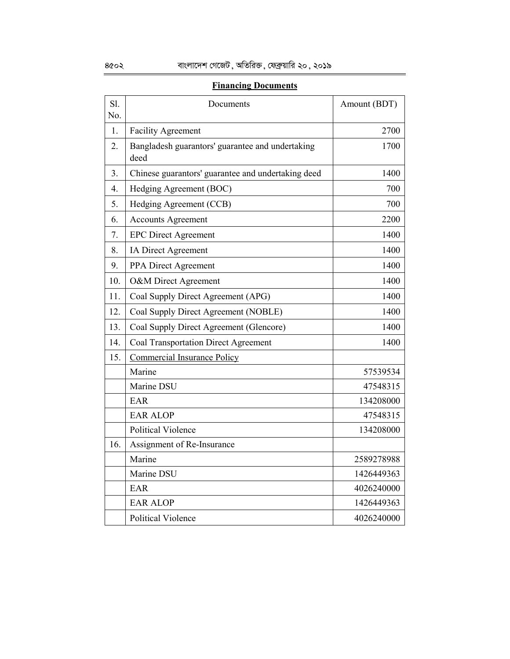| Sl.<br>No.       | Documents                                                | Amount (BDT) |
|------------------|----------------------------------------------------------|--------------|
| 1.               | <b>Facility Agreement</b>                                | 2700         |
| 2.               | Bangladesh guarantors' guarantee and undertaking<br>deed | 1700         |
| 3.               | Chinese guarantors' guarantee and undertaking deed       | 1400         |
| $\overline{4}$ . | Hedging Agreement (BOC)                                  | 700          |
| 5.               | Hedging Agreement (CCB)                                  | 700          |
| 6.               | <b>Accounts Agreement</b>                                | 2200         |
| 7.               | <b>EPC Direct Agreement</b>                              | 1400         |
| 8.               | IA Direct Agreement                                      | 1400         |
| 9.               | PPA Direct Agreement                                     | 1400         |
| 10.              | O&M Direct Agreement                                     | 1400         |
| 11.              | Coal Supply Direct Agreement (APG)                       | 1400         |
| 12.              | Coal Supply Direct Agreement (NOBLE)                     | 1400         |
| 13.              | Coal Supply Direct Agreement (Glencore)                  | 1400         |
| 14.              | <b>Coal Transportation Direct Agreement</b>              | 1400         |
| 15.              | <b>Commercial Insurance Policy</b>                       |              |
|                  | Marine                                                   | 57539534     |
|                  | Marine DSU                                               | 47548315     |
|                  | EAR                                                      | 134208000    |
|                  | <b>EAR ALOP</b>                                          | 47548315     |
|                  | <b>Political Violence</b>                                | 134208000    |
| 16.              | Assignment of Re-Insurance                               |              |
|                  | Marine                                                   | 2589278988   |
|                  | Marine DSU                                               | 1426449363   |
|                  | EAR                                                      | 4026240000   |
|                  | <b>EAR ALOP</b>                                          | 1426449363   |
|                  | <b>Political Violence</b>                                | 4026240000   |

## **Financing Documents**